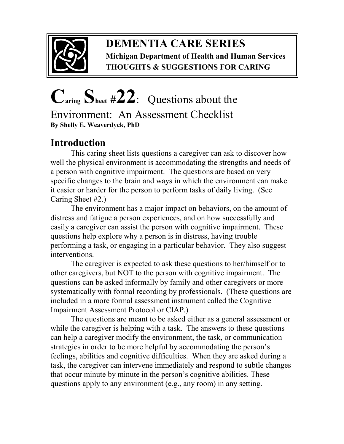

### **DEMENTIA CARE SERIES Michigan Department of Health and Human Services THOUGHTS & SUGGESTIONS FOR CARING**

# **Caring Sheet #22**:Questions about the

Environment: An Assessment Checklist **By Shelly E. Weaverdyck, PhD** 

## **Introduction**

This caring sheet lists questions a caregiver can ask to discover how well the physical environment is accommodating the strengths and needs of a person with cognitive impairment. The questions are based on very specific changes to the brain and ways in which the environment can make it easier or harder for the person to perform tasks of daily living. (See Caring Sheet #2.)

The environment has a major impact on behaviors, on the amount of distress and fatigue a person experiences, and on how successfully and easily a caregiver can assist the person with cognitive impairment. These questions help explore why a person is in distress, having trouble performing a task, or engaging in a particular behavior. They also suggest interventions.

The caregiver is expected to ask these questions to her/himself or to other caregivers, but NOT to the person with cognitive impairment. The questions can be asked informally by family and other caregivers or more systematically with formal recording by professionals. (These questions are included in a more formal assessment instrument called the Cognitive Impairment Assessment Protocol or CIAP.)

 The questions are meant to be asked either as a general assessment or while the caregiver is helping with a task. The answers to these questions can help a caregiver modify the environment, the task, or communication strategies in order to be more helpful by accommodating the person's feelings, abilities and cognitive difficulties. When they are asked during a task, the caregiver can intervene immediately and respond to subtle changes that occur minute by minute in the person's cognitive abilities. These questions apply to any environment (e.g., any room) in any setting.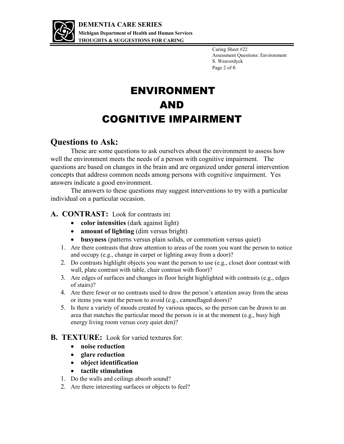

Caring Sheet #22 Assessment Questions: Environment S. Weaverdyck Page 2 of 6

# ENVIRONMENT AND COGNITIVE IMPAIRMENT

#### **Questions to Ask:**

These are some questions to ask ourselves about the environment to assess how well the environment meets the needs of a person with cognitive impairment. The questions are based on changes in the brain and are organized under general intervention concepts that address common needs among persons with cognitive impairment. Yes answers indicate a good environment.

The answers to these questions may suggest interventions to try with a particular individual on a particular occasion.

#### **A. CONTRAST:** Look for contrasts in**:**

- **color intensities** *(dark against light)*
- **amount of lighting** (dim versus bright)
- **busyness** (patterns versus plain solids, or commotion versus quiet)
- 1. Are there contrasts that draw attention to areas of the room you want the person to notice and occupy (e.g., change in carpet or lighting away from a door)?
- 2. Do contrasts highlight objects you want the person to use (e.g., closet door contrast with wall, plate contrast with table, chair contrast with floor)?
- 3. Are edges of surfaces and changes in floor height highlighted with contrasts (e.g., edges of stairs)?
- 4. Are there fewer or no contrasts used to draw the person's attention away from the areas or items you want the person to avoid (e.g., camouflaged doors)?
- 5. Is there a variety of moods created by various spaces, so the person can be drawn to an area that matches the particular mood the person is in at the moment (e.g., busy high energy living room versus cozy quiet den)?

#### **B. TEXTURE:** Look for varied textures for:

- **noise reduction**
- **glare reduction**
- **object identification**
- **tactile stimulation**
- 1. Do the walls and ceilings absorb sound?
- 2. Are there interesting surfaces or objects to feel?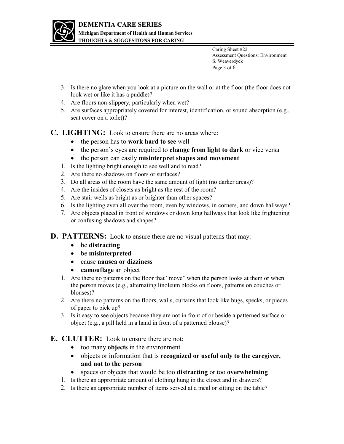

Caring Sheet #22 Assessment Questions: Environment S. Weaverdyck Page 3 of 6

- 3. Is there no glare when you look at a picture on the wall or at the floor (the floor does not look wet or like it has a puddle)?
- 4. Are floors non-slippery, particularly when wet?
- 5. Are surfaces appropriately covered for interest, identification, or sound absorption (e.g., seat cover on a toilet)?

**C. LIGHTING:** Look to ensure there are no areas where:

- the person has to **work hard to see** well
- the person's eyes are required to **change from light to dark** or vice versa
- the person can easily **misinterpret shapes and movement**
- 1. Is the lighting bright enough to see well and to read?
- 2. Are there no shadows on floors or surfaces?
- 3. Do all areas of the room have the same amount of light (no darker areas)?
- 4. Are the insides of closets as bright as the rest of the room?
- 5. Are stair wells as bright as or brighter than other spaces?
- 6. Is the lighting even all over the room, even by windows, in corners, and down hallways?
- 7. Are objects placed in front of windows or down long hallways that look like frightening or confusing shadows and shapes?
- **D. PATTERNS:** Look to ensure there are no visual patterns that may:
	- be **distracting**
	- be **misinterpreted**
	- cause **nausea or dizziness**
	- **camouflage** an object
	- 1. Are there no patterns on the floor that "move" when the person looks at them or when the person moves (e.g., alternating linoleum blocks on floors, patterns on couches or blouses)?
	- 2. Are there no patterns on the floors, walls, curtains that look like bugs, specks, or pieces of paper to pick up?
	- 3. Is it easy to see objects because they are not in front of or beside a patterned surface or object (e.g., a pill held in a hand in front of a patterned blouse)?

#### **E. CLUTTER:** Look to ensure there are not:

- too many **objects** in the environment
- objects or information that is **recognized or useful only to the caregiver, and not to the person**
- spaces or objects that would be too **distracting** or too **overwhelming**
- 1. Is there an appropriate amount of clothing hung in the closet and in drawers?
- 2. Is there an appropriate number of items served at a meal or sitting on the table?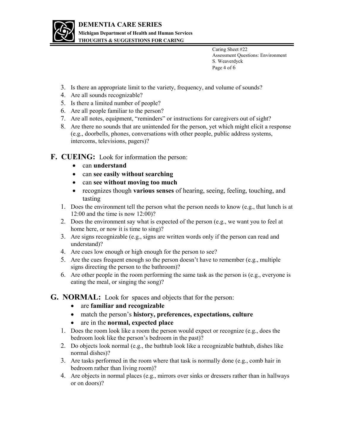

**THOUGHTS & SUGGESTIONS FOR CARING** 

Caring Sheet #22 Assessment Questions: Environment S. Weaverdyck Page 4 of 6

- 3. Is there an appropriate limit to the variety, frequency, and volume of sounds?
- 4. Are all sounds recognizable?
- 5. Is there a limited number of people?
- 6. Are all people familiar to the person?
- 7. Are all notes, equipment, "reminders" or instructions for caregivers out of sight?
- 8. Are there no sounds that are unintended for the person, yet which might elicit a response (e.g., doorbells, phones, conversations with other people, public address systems, intercoms, televisions, pagers)?
- **F. CUEING:** Look for information the person:
	- can **understand**
	- can **see easily without searching**
	- can **see without moving too much**
	- recognizes though **various senses** of hearing, seeing, feeling, touching, and tasting
	- 1. Does the environment tell the person what the person needs to know (e.g., that lunch is at 12:00 and the time is now 12:00)?
	- 2. Does the environment say what is expected of the person (e.g., we want you to feel at home here, or now it is time to sing)?
	- 3. Are signs recognizable (e.g., signs are written words only if the person can read and understand)?
	- 4. Are cues low enough or high enough for the person to see?
	- 5. Are the cues frequent enough so the person doesn't have to remember (e.g., multiple signs directing the person to the bathroom)?
	- 6. Are other people in the room performing the same task as the person is (e.g., everyone is eating the meal, or singing the song)?
- **G. NORMAL:** Look for spaces and objects that for the person:
	- are **familiar and recognizable**
	- match the person's **history, preferences, expectations, culture**
	- are in the **normal, expected place**
	- 1. Does the room look like a room the person would expect or recognize (e.g., does the bedroom look like the person's bedroom in the past)?
	- 2. Do objects look normal (e.g., the bathtub look like a recognizable bathtub, dishes like normal dishes)?
	- 3. Are tasks performed in the room where that task is normally done (e.g., comb hair in bedroom rather than living room)?
	- 4. Are objects in normal places (e.g., mirrors over sinks or dressers rather than in hallways or on doors)?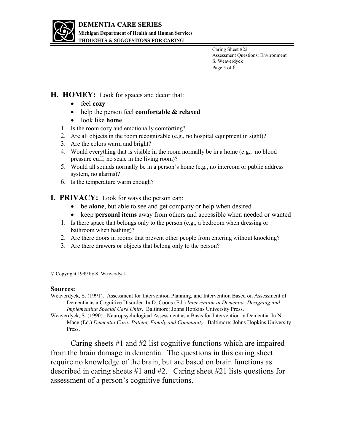

Caring Sheet #22 Assessment Questions: Environment S. Weaverdyck Page 5 of 6

#### **H. HOMEY:** Look for spaces and decor that:

- feel **cozy**
- help the person feel **comfortable & relaxed**
- look like **home**
- 1. Is the room cozy and emotionally comforting?
- 2. Are all objects in the room recognizable (e.g., no hospital equipment in sight)?
- 3. Are the colors warm and bright?
- 4. Would everything that is visible in the room normally be in a home (e.g., no blood pressure cuff; no scale in the living room)?
- 5. Would all sounds normally be in a person's home (e.g., no intercom or public address system, no alarms)?
- 6. Is the temperature warm enough?
- **I. PRIVACY:** Look for ways the person can:
	- be **alone**, but able to see and get company or help when desired
	- keep **personal items** away from others and accessible when needed or wanted
	- 1. Is there space that belongs only to the person (e.g., a bedroom when dressing or bathroom when bathing)?
	- 2. Are there doors in rooms that prevent other people from entering without knocking?
	- 3. Are there drawers or objects that belong only to the person?

Copyright 1999 by S. Weaverdyck.

#### **Sources:**

Weaverdyck, S. (1991). Assessment for Intervention Planning, and Intervention Based on Assessment of Dementia as a Cognitive Disorder. In D. Coons (Ed.) *Intervention in Dementia: Designing and Implementing Special Care Units*. Baltimore: Johns Hopkins University Press.

Weaverdyck, S. (1990). Neuropsychological Assessment as a Basis for Intervention in Dementia. In N. Mace (Ed.) *Dementia Care: Patient, Family and Community*. Baltimore: Johns Hopkins University Press.

Caring sheets #1 and #2 list cognitive functions which are impaired from the brain damage in dementia. The questions in this caring sheet require no knowledge of the brain, but are based on brain functions as described in caring sheets #1 and #2. Caring sheet #21 lists questions for assessment of a person's cognitive functions.